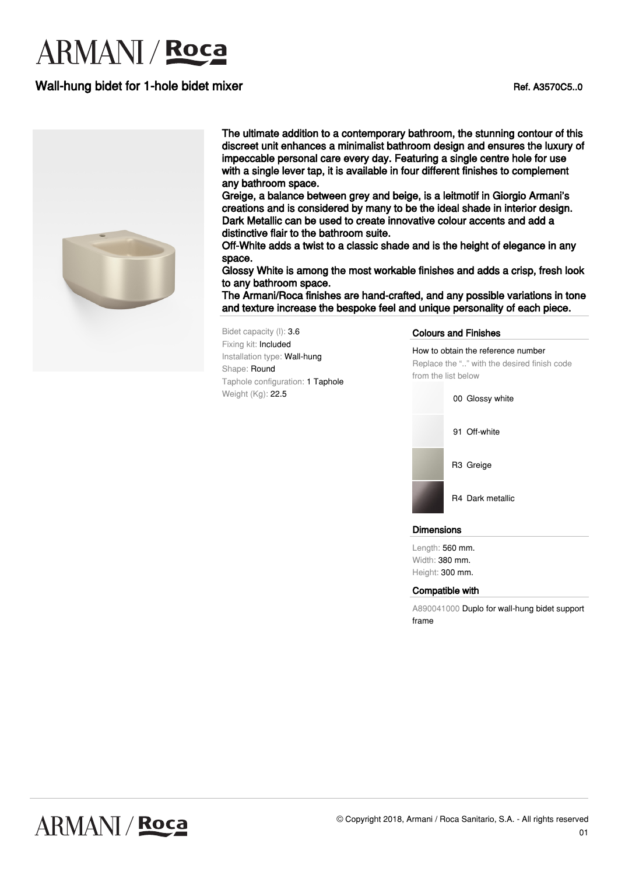# **ARMANI** / **Roca**

## Wall-hung bidet for 1-hole bidet mixer Ref. A3570C5..0



The ultimate addition to a contemporary bathroom, the stunning contour of this discreet unit enhances a minimalist bathroom design and ensures the luxury of impeccable personal care every day. Featuring a single centre hole for use with a single lever tap, it is available in four different finishes to complement any bathroom space.

Greige, a balance between grey and beige, is a leitmotif in Giorgio Armani's creations and is considered by many to be the ideal shade in interior design. Dark Metallic can be used to create innovative colour accents and add a distinctive flair to the bathroom suite.

Off-White adds a twist to a classic shade and is the height of elegance in any space.

Glossy White is among the most workable finishes and adds a crisp, fresh look to any bathroom space.

The Armani/Roca finishes are hand-crafted, and any possible variations in tone and texture increase the bespoke feel and unique personality of each piece.

Bidet capacity (l): 3.6 Fixing kit: Included Installation type: Wall-hung Shape: Round Taphole configuration: 1 Taphole Weight (Kg): 22.5

Colours and Finishes

How to obtain the reference number Replace the ".." with the desired finish code from the list below



### **Dimensions**

Length: 560 mm. Width: 380 mm. Height: 300 mm.

### Compatible with

A890041000 Duplo for wall-hung bidet support frame



## **ARMANI / Roca**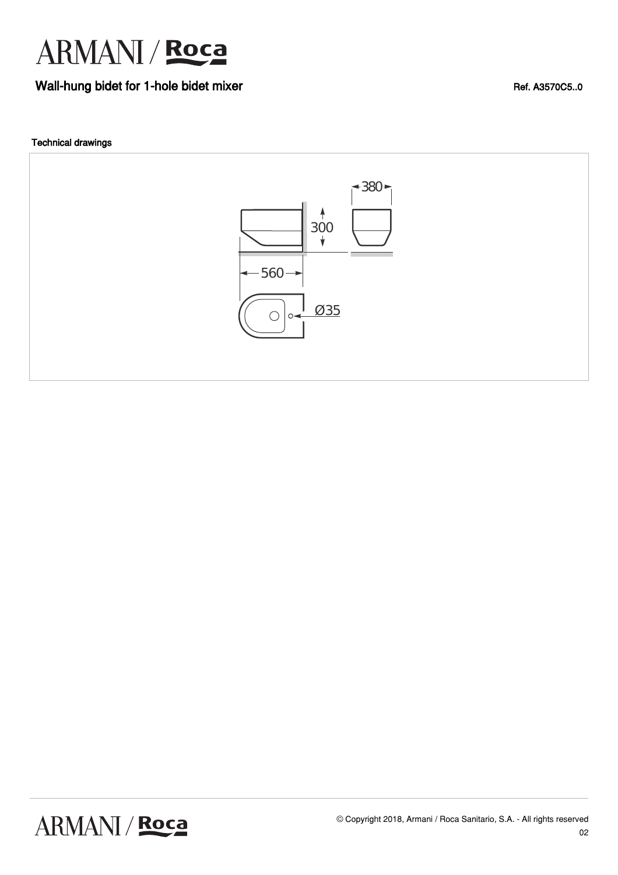

### Wall-hung bidet for 1-hole bidet mixer Ref. A3570C5..0

### Technical drawings